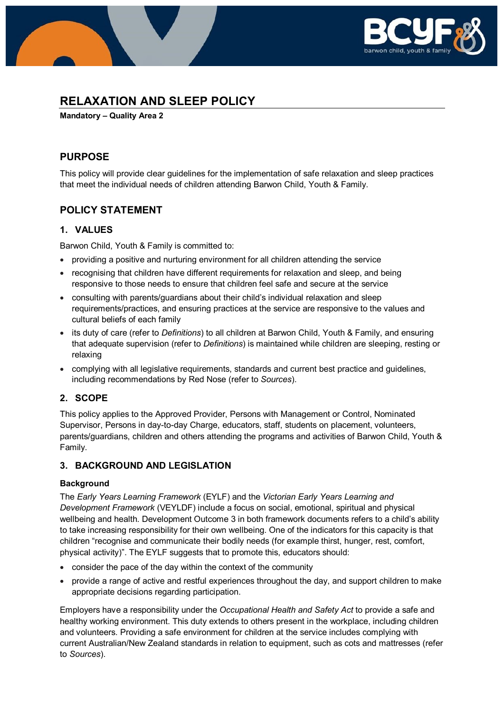

# **RELAXATION AND SLEEP POLICY**

**Mandatory – Quality Area 2**

### **PURPOSE**

This policy will provide clear guidelines for the implementation of safe relaxation and sleep practices that meet the individual needs of children attending Barwon Child, Youth & Family.

### **POLICY STATEMENT**

#### **1. VALUES**

Barwon Child, Youth & Family is committed to:

- providing a positive and nurturing environment for all children attending the service
- recognising that children have different requirements for relaxation and sleep, and being responsive to those needs to ensure that children feel safe and secure at the service
- consulting with parents/guardians about their child's individual relaxation and sleep requirements/practices, and ensuring practices at the service are responsive to the values and cultural beliefs of each family
- its duty of care (refer to *Definitions*) to all children at Barwon Child, Youth & Family, and ensuring that adequate supervision (refer to *Definitions*) is maintained while children are sleeping, resting or relaxing
- complying with all legislative requirements, standards and current best practice and guidelines, including recommendations by Red Nose (refer to *Sources*).

### **2. SCOPE**

This policy applies to the Approved Provider, Persons with Management or Control, Nominated Supervisor, Persons in day-to-day Charge, educators, staff, students on placement, volunteers, parents/guardians, children and others attending the programs and activities of Barwon Child, Youth & Family.

### **3. BACKGROUND AND LEGISLATION**

#### **Background**

The *Early Years Learning Framework* (EYLF) and the *Victorian Early Years Learning and Development Framework* (VEYLDF) include a focus on social, emotional, spiritual and physical wellbeing and health. Development Outcome 3 in both framework documents refers to a child's ability to take increasing responsibility for their own wellbeing. One of the indicators for this capacity is that children "recognise and communicate their bodily needs (for example thirst, hunger, rest, comfort, physical activity)". The EYLF suggests that to promote this, educators should:

- consider the pace of the day within the context of the community
- provide a range of active and restful experiences throughout the day, and support children to make appropriate decisions regarding participation.

Employers have a responsibility under the *Occupational Health and Safety Act* to provide a safe and healthy working environment. This duty extends to others present in the workplace, including children and volunteers. Providing a safe environment for children at the service includes complying with current Australian/New Zealand standards in relation to equipment, such as cots and mattresses (refer to *Sources*).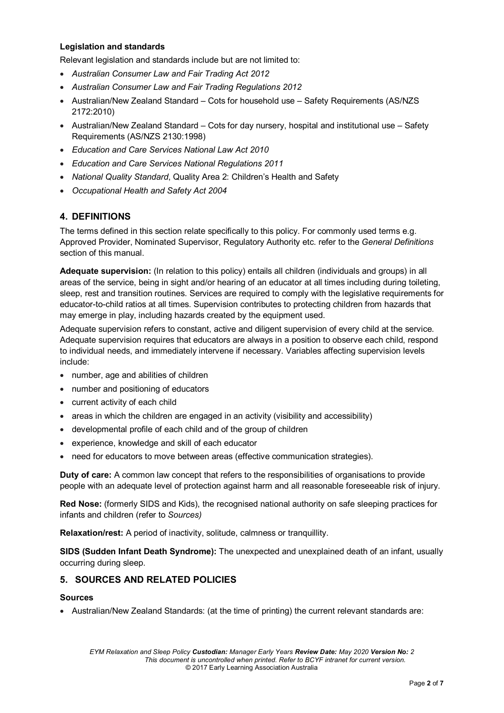#### **Legislation and standards**

Relevant legislation and standards include but are not limited to:

- *Australian Consumer Law and Fair Trading Act 2012*
- *Australian Consumer Law and Fair Trading Regulations 2012*
- Australian/New Zealand Standard Cots for household use Safety Requirements (AS/NZS 2172:2010)
- Australian/New Zealand Standard Cots for day nursery, hospital and institutional use Safety Requirements (AS/NZS 2130:1998)
- *Education and Care Services National Law Act 2010*
- *Education and Care Services National Regulations 2011*
- *National Quality Standard*, Quality Area 2: Children's Health and Safety
- *Occupational Health and Safety Act 2004*

### **4. DEFINITIONS**

The terms defined in this section relate specifically to this policy. For commonly used terms e.g. Approved Provider, Nominated Supervisor, Regulatory Authority etc. refer to the *General Definitions* section of this manual.

**Adequate supervision:** (In relation to this policy) entails all children (individuals and groups) in all areas of the service, being in sight and/or hearing of an educator at all times including during toileting, sleep, rest and transition routines. Services are required to comply with the legislative requirements for educator-to-child ratios at all times. Supervision contributes to protecting children from hazards that may emerge in play, including hazards created by the equipment used.

Adequate supervision refers to constant, active and diligent supervision of every child at the service. Adequate supervision requires that educators are always in a position to observe each child, respond to individual needs, and immediately intervene if necessary. Variables affecting supervision levels include:

- number, age and abilities of children
- number and positioning of educators
- current activity of each child
- areas in which the children are engaged in an activity (visibility and accessibility)
- developmental profile of each child and of the group of children
- experience, knowledge and skill of each educator
- need for educators to move between areas (effective communication strategies).

**Duty of care:** A common law concept that refers to the responsibilities of organisations to provide people with an adequate level of protection against harm and all reasonable foreseeable risk of injury.

**Red Nose:** (formerly SIDS and Kids), the recognised national authority on safe sleeping practices for infants and children (refer to *Sources)*

**Relaxation/rest:** A period of inactivity, solitude, calmness or tranquillity.

**SIDS (Sudden Infant Death Syndrome):** The unexpected and unexplained death of an infant, usually occurring during sleep.

### **5. SOURCES AND RELATED POLICIES**

#### **Sources**

• Australian/New Zealand Standards: (at the time of printing) the current relevant standards are: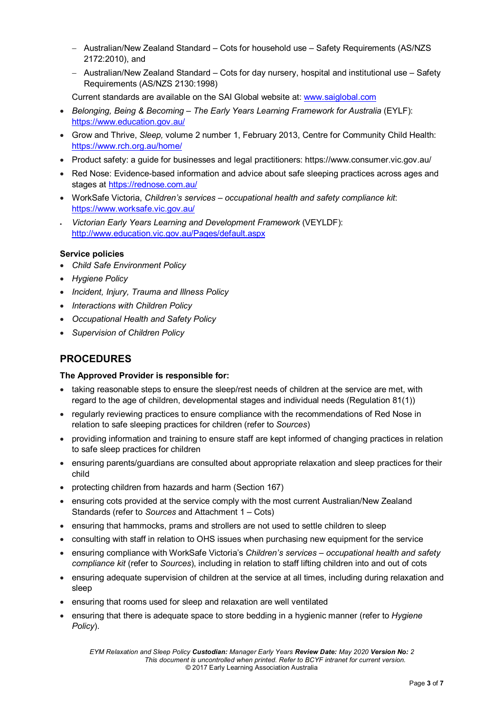- − Australian/New Zealand Standard Cots for household use Safety Requirements (AS/NZS 2172:2010), and
- − Australian/New Zealand Standard Cots for day nursery, hospital and institutional use Safety Requirements (AS/NZS 2130:1998)

Current standards are available on the SAI Global website at: [www.saiglobal.com](http://www.saiglobal.com/)

- *Belonging, Being & Becoming – The Early Years Learning Framework for Australia* (EYLF): <https://www.education.gov.au/>
- Grow and Thrive, *Sleep,* volume 2 number 1, February 2013, Centre for Community Child Health: <https://www.rch.org.au/home/>
- Product safety: a quide for businesses and legal practitioners: https://www.consumer.vic.gov.au/
- Red Nose: Evidence-based information and advice about safe sleeping practices across ages and stages at<https://rednose.com.au/>
- WorkSafe Victoria, *Children's services – occupational health and safety compliance kit*: <https://www.worksafe.vic.gov.au/>
- *Victorian Early Years Learning and Development Framework* (VEYLDF): <http://www.education.vic.gov.au/Pages/default.aspx>

#### **Service policies**

- *Child Safe Environment Policy*
- *Hygiene Policy*
- *Incident, Injury, Trauma and Illness Policy*
- *Interactions with Children Policy*
- *Occupational Health and Safety Policy*
- *Supervision of Children Policy*

### **PROCEDURES**

#### **The Approved Provider is responsible for:**

- taking reasonable steps to ensure the sleep/rest needs of children at the service are met, with regard to the age of children, developmental stages and individual needs (Regulation 81(1))
- regularly reviewing practices to ensure compliance with the recommendations of Red Nose in relation to safe sleeping practices for children (refer to *Sources*)
- providing information and training to ensure staff are kept informed of changing practices in relation to safe sleep practices for children
- ensuring parents/guardians are consulted about appropriate relaxation and sleep practices for their child
- protecting children from hazards and harm (Section 167)
- ensuring cots provided at the service comply with the most current Australian/New Zealand Standards (refer to *Sources* and Attachment 1 – Cots)
- ensuring that hammocks, prams and strollers are not used to settle children to sleep
- consulting with staff in relation to OHS issues when purchasing new equipment for the service
- ensuring compliance with WorkSafe Victoria's *Children's services – occupational health and safety compliance kit* (refer to *Sources*), including in relation to staff lifting children into and out of cots
- ensuring adequate supervision of children at the service at all times, including during relaxation and sleep
- ensuring that rooms used for sleep and relaxation are well ventilated
- ensuring that there is adequate space to store bedding in a hygienic manner (refer to *Hygiene Policy*).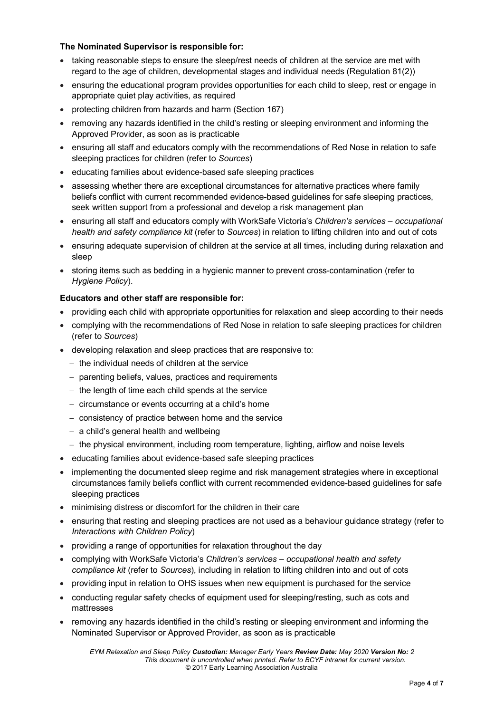#### **The Nominated Supervisor is responsible for:**

- taking reasonable steps to ensure the sleep/rest needs of children at the service are met with regard to the age of children, developmental stages and individual needs (Regulation 81(2))
- ensuring the educational program provides opportunities for each child to sleep, rest or engage in appropriate quiet play activities, as required
- protecting children from hazards and harm (Section 167)
- removing any hazards identified in the child's resting or sleeping environment and informing the Approved Provider, as soon as is practicable
- ensuring all staff and educators comply with the recommendations of Red Nose in relation to safe sleeping practices for children (refer to *Sources*)
- educating families about evidence-based safe sleeping practices
- assessing whether there are exceptional circumstances for alternative practices where family beliefs conflict with current recommended evidence-based guidelines for safe sleeping practices, seek written support from a professional and develop a risk management plan
- ensuring all staff and educators comply with WorkSafe Victoria's *Children's services – occupational health and safety compliance kit* (refer to *Sources*) in relation to lifting children into and out of cots
- ensuring adequate supervision of children at the service at all times, including during relaxation and sleep
- storing items such as bedding in a hygienic manner to prevent cross-contamination (refer to *Hygiene Policy*).

#### **Educators and other staff are responsible for:**

- providing each child with appropriate opportunities for relaxation and sleep according to their needs
- complying with the recommendations of Red Nose in relation to safe sleeping practices for children (refer to *Sources*)
- developing relaxation and sleep practices that are responsive to:
	- − the individual needs of children at the service
	- − parenting beliefs, values, practices and requirements
	- − the length of time each child spends at the service
	- − circumstance or events occurring at a child's home
	- − consistency of practice between home and the service
	- − a child's general health and wellbeing
	- − the physical environment, including room temperature, lighting, airflow and noise levels
- educating families about evidence-based safe sleeping practices
- implementing the documented sleep regime and risk management strategies where in exceptional circumstances family beliefs conflict with current recommended evidence-based guidelines for safe sleeping practices
- minimising distress or discomfort for the children in their care
- ensuring that resting and sleeping practices are not used as a behaviour guidance strategy (refer to *Interactions with Children Policy*)
- providing a range of opportunities for relaxation throughout the day
- complying with WorkSafe Victoria's *Children's services – occupational health and safety compliance kit* (refer to *Sources*), including in relation to lifting children into and out of cots
- providing input in relation to OHS issues when new equipment is purchased for the service
- conducting regular safety checks of equipment used for sleeping/resting, such as cots and mattresses
- removing any hazards identified in the child's resting or sleeping environment and informing the Nominated Supervisor or Approved Provider, as soon as is practicable

*EYM Relaxation and Sleep Policy Custodian: Manager Early Years Review Date: May 2020 Version No: 2 This document is uncontrolled when printed. Refer to BCYF intranet for current version.* © 2017 Early Learning Association Australia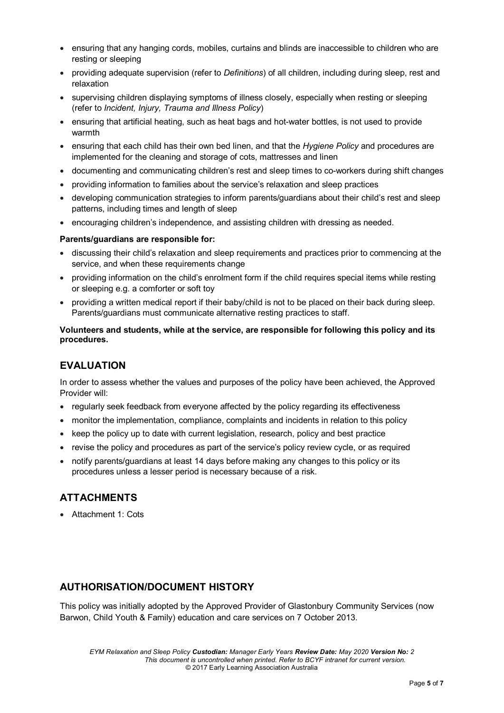- ensuring that any hanging cords, mobiles, curtains and blinds are inaccessible to children who are resting or sleeping
- providing adequate supervision (refer to *Definitions*) of all children, including during sleep, rest and relaxation
- supervising children displaying symptoms of illness closely, especially when resting or sleeping (refer to *Incident, Injury, Trauma and Illness Policy*)
- ensuring that artificial heating, such as heat bags and hot-water bottles, is not used to provide warmth
- ensuring that each child has their own bed linen, and that the *Hygiene Policy* and procedures are implemented for the cleaning and storage of cots, mattresses and linen
- documenting and communicating children's rest and sleep times to co-workers during shift changes
- providing information to families about the service's relaxation and sleep practices
- developing communication strategies to inform parents/guardians about their child's rest and sleep patterns, including times and length of sleep
- encouraging children's independence, and assisting children with dressing as needed.

#### **Parents/guardians are responsible for:**

- discussing their child's relaxation and sleep requirements and practices prior to commencing at the service, and when these requirements change
- providing information on the child's enrolment form if the child requires special items while resting or sleeping e.g. a comforter or soft toy
- providing a written medical report if their baby/child is not to be placed on their back during sleep. Parents/guardians must communicate alternative resting practices to staff.

#### **Volunteers and students, while at the service, are responsible for following this policy and its procedures.**

### **EVALUATION**

In order to assess whether the values and purposes of the policy have been achieved, the Approved Provider will:

- regularly seek feedback from everyone affected by the policy regarding its effectiveness
- monitor the implementation, compliance, complaints and incidents in relation to this policy
- keep the policy up to date with current legislation, research, policy and best practice
- revise the policy and procedures as part of the service's policy review cycle, or as required
- notify parents/guardians at least 14 days before making any changes to this policy or its procedures unless a lesser period is necessary because of a risk.

### **ATTACHMENTS**

• Attachment 1: Cots

### **AUTHORISATION/DOCUMENT HISTORY**

This policy was initially adopted by the Approved Provider of Glastonbury Community Services (now Barwon, Child Youth & Family) education and care services on 7 October 2013.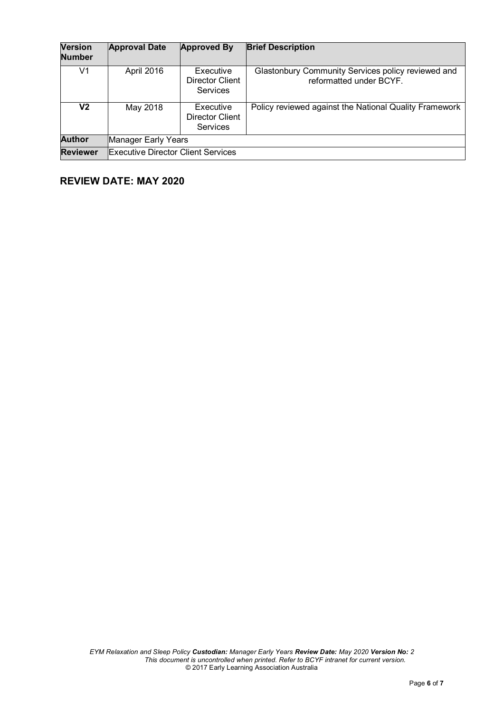| <b>Version</b><br><b>Number</b> | <b>Approval Date</b>                      | <b>Approved By</b>                                     | <b>Brief Description</b>                                                      |
|---------------------------------|-------------------------------------------|--------------------------------------------------------|-------------------------------------------------------------------------------|
| V1                              | April 2016                                | Executive<br>Director Client<br><b>Services</b>        | Glastonbury Community Services policy reviewed and<br>reformatted under BCYF. |
| V2                              | May 2018                                  | Executive<br><b>Director Client</b><br><b>Services</b> | Policy reviewed against the National Quality Framework                        |
| <b>Author</b>                   | Manager Early Years                       |                                                        |                                                                               |
| <b>Reviewer</b>                 | <b>Executive Director Client Services</b> |                                                        |                                                                               |

# **REVIEW DATE: MAY 2020**